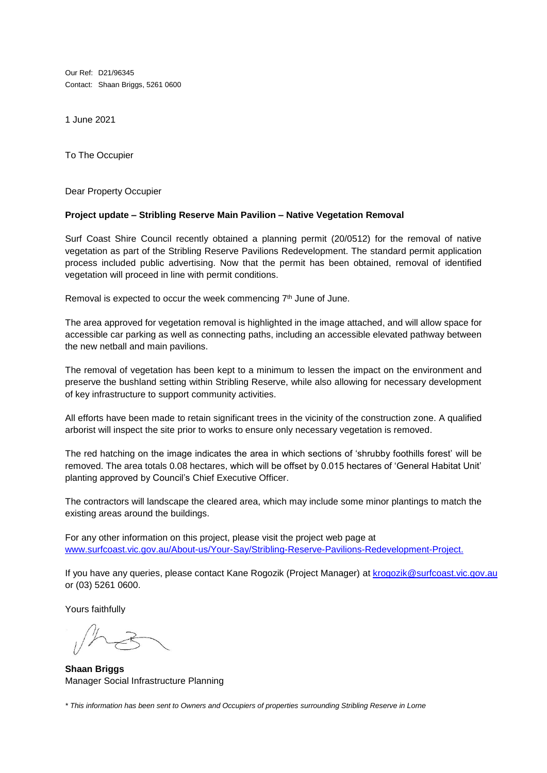Our Ref: D21/96345 Contact: Shaan Briggs, 5261 0600

1 June 2021

To The Occupier

Dear Property Occupier

## **Project update – Stribling Reserve Main Pavilion – Native Vegetation Removal**

Surf Coast Shire Council recently obtained a planning permit (20/0512) for the removal of native vegetation as part of the Stribling Reserve Pavilions Redevelopment. The standard permit application process included public advertising. Now that the permit has been obtained, removal of identified vegetation will proceed in line with permit conditions.

Removal is expected to occur the week commencing 7<sup>th</sup> June of June.

The area approved for vegetation removal is highlighted in the image attached, and will allow space for accessible car parking as well as connecting paths, including an accessible elevated pathway between the new netball and main pavilions.

The removal of vegetation has been kept to a minimum to lessen the impact on the environment and preserve the bushland setting within Stribling Reserve, while also allowing for necessary development of key infrastructure to support community activities.

All efforts have been made to retain significant trees in the vicinity of the construction zone. A qualified arborist will inspect the site prior to works to ensure only necessary vegetation is removed.

The red hatching on the image indicates the area in which sections of 'shrubby foothills forest' will be removed. The area totals 0.08 hectares, which will be offset by 0.015 hectares of 'General Habitat Unit' planting approved by Council's Chief Executive Officer.

The contractors will landscape the cleared area, which may include some minor plantings to match the existing areas around the buildings.

For any other information on this project, please visit the project web page at [www.surfcoast.vic.gov.au/About-us/Your-Say/Stribling-Reserve-Pavilions-Redevelopment-Project.](http://www.surfcoast.vic.gov.au/About-us/Your-Say/Stribling-Reserve-Pavilions-Redevelopment-Project)

If you have any queries, please contact Kane Rogozik (Project Manager) at [krogozik@surfcoast.vic.gov.au](mailto:krogozik@surfcoast.vic.gov.au) or (03) 5261 0600.

Yours faithfully

**Shaan Briggs** Manager Social Infrastructure Planning

*\* This information has been sent to Owners and Occupiers of properties surrounding Stribling Reserve in Lorne*